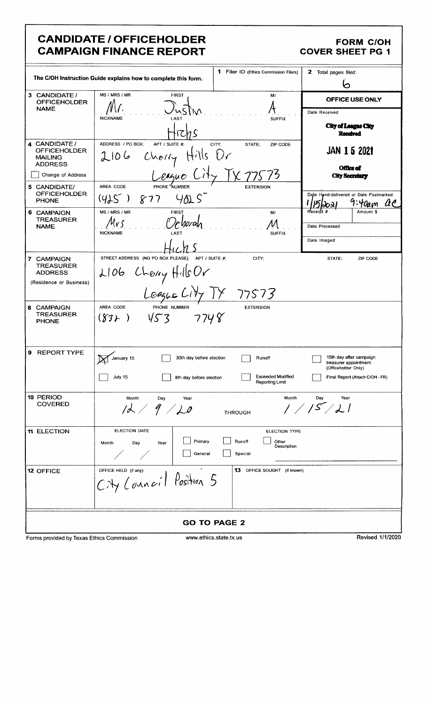# **CANDIDATE / OFFICEHOLDER<br>CAMPAIGN FINANCE REPORT**

## FORM C/OH<br>COVER SHEET PG 1

|                                                                          | <b>1</b> Filer ID (Ethics Commission Filers)<br>The C/OH Instruction Guide explains how to complete this form.             | 2 Total pages filed:<br>Ο                                               |  |
|--------------------------------------------------------------------------|----------------------------------------------------------------------------------------------------------------------------|-------------------------------------------------------------------------|--|
| 3 CANDIDATE /<br><b>OFFICEHOLDER</b>                                     | MS / MRS / MR<br><b>FIRST</b><br>MI                                                                                        | OFFICE USE ONLY                                                         |  |
| <b>NAME</b>                                                              |                                                                                                                            | Date Received                                                           |  |
|                                                                          | <b>NICKNAME</b><br>LAST<br><b>SUFFIX</b>                                                                                   | City of League City<br>Received                                         |  |
| 4 CANDIDATE /<br><b>OFFICEHOLDER</b><br><b>MAILING</b><br><b>ADDRESS</b> | ADDRESS / PO BOX:<br>APT / SUITE #:<br>STATE;<br>CITY:<br>ZIP CODE<br>$\bigcup_{\mathcal{C}}$<br>2106<br>$H^1/IS$<br>Cherf | JAN 1 5 2021<br><b>Office of</b>                                        |  |
| Change of Address                                                        | League                                                                                                                     | <b>City Secretary</b>                                                   |  |
| 5 CANDIDATE/<br><b>OFFICEHOLDER</b><br><b>PHONE</b>                      | PHONE NUMBER<br>AREA CODE<br><b>EXTENSION</b><br>(425)<br>877                                                              | Date Hand-delivered or Date Postmarked<br>'Oam                          |  |
| 6 CAMPAIGN<br><b>TREASURER</b>                                           | MS / MRS / MR<br><b>FIRST</b><br>MI                                                                                        | Receipt #<br>Amount \$                                                  |  |
| <b>NAME</b>                                                              | <b>NICKNAME</b><br><b>SUFFIX</b><br>LAST                                                                                   | Date Processed                                                          |  |
|                                                                          |                                                                                                                            | Date Imaged                                                             |  |
| 7 CAMPAIGN                                                               | STREET ADDRESS (NO PO BOX PLEASE);<br>CITY;<br>APT / SUITE #:                                                              | STATE:<br>ZIP CODE                                                      |  |
| <b>TREASURER</b><br><b>ADDRESS</b>                                       | 2106 Chony HillsOr<br>Loague City TY 77573                                                                                 |                                                                         |  |
| (Residence or Business)                                                  |                                                                                                                            |                                                                         |  |
|                                                                          |                                                                                                                            |                                                                         |  |
| 8 CAMPAIGN<br><b>TREASURER</b><br><b>PHONE</b>                           | AREA CODE<br>PHONE NUMBER<br><b>EXTENSION</b><br>7748<br>453<br>$(\cancel{83}$ )                                           |                                                                         |  |
| 9 REPORT TYPE                                                            | 30th day before election<br>Runoff<br>January 15                                                                           | 15th day after campaign<br>treasurer appointment<br>(Officeholder Only) |  |
|                                                                          | <b>Exceeded Modified</b><br>July 15<br>8th day before election<br>Reporting Limit                                          | Final Report (Attach C/OH - FR)                                         |  |
| 10 PERIOD<br><b>COVERED</b>                                              | Month<br>Month<br>Day<br>Year                                                                                              | Day<br>Year                                                             |  |
|                                                                          | 12/9/10<br><b>THROUGH</b>                                                                                                  | 1/5/21                                                                  |  |
| <b>11 ELECTION</b>                                                       | <b>ELECTION DATE</b><br><b>ELECTION TYPE</b>                                                                               |                                                                         |  |
|                                                                          | Primary<br>Runoff<br>Other<br>Day<br>Month<br>Year<br>Description<br>General<br>Special                                    |                                                                         |  |
| <b>12 OFFICE</b>                                                         | 13 OFFICE SOUGHT (if known)<br>OFFICE HELD (if any)                                                                        |                                                                         |  |
|                                                                          | City Council Position 5                                                                                                    |                                                                         |  |
| <b>GO TO PAGE 2</b>                                                      |                                                                                                                            |                                                                         |  |

Forms provided by Texas Ethics Commission

www.ethics.state.tx.us

Revised 1/1/2020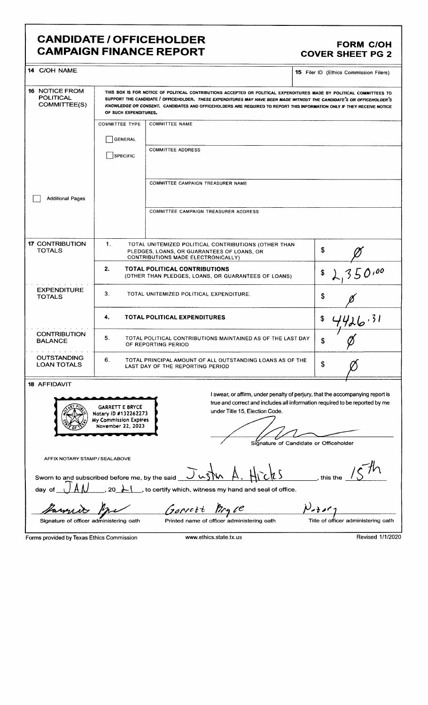#### CANDIDATE / OFFICEHOLDER<br>CAMPAIGN FINANCE REPORT COVER SHEET PG 2 **CAMPAIGN FINANCE REPORT**

| 14 C/OH NAME                                                                                                                                                                                                                                                                                                                             |                                                                                                                                                                                                                                                                                                                                                                                                  |                                                                                      | <b>15</b> Filer ID (Ethics Commission Filers) |
|------------------------------------------------------------------------------------------------------------------------------------------------------------------------------------------------------------------------------------------------------------------------------------------------------------------------------------------|--------------------------------------------------------------------------------------------------------------------------------------------------------------------------------------------------------------------------------------------------------------------------------------------------------------------------------------------------------------------------------------------------|--------------------------------------------------------------------------------------|-----------------------------------------------|
| <b>16 NOTICE FROM</b><br><b>POLITICAL</b><br>COMMITTEE(S)                                                                                                                                                                                                                                                                                | THIS BOX IS FOR NOTICE OF POLITICAL CONTRIBUTIONS ACCEPTED OR POLITICAL EXPENDITURES MADE BY POLITICAL COMMITTEES TO<br>SUPPORT THE CANDIDATE / OFFICEHOLDER. THESE EXPENDITURES MAY HAVE BEEN MADE WITHOUT THE CANDIDATE'S OR OFFICEHOLDER'S<br>KNOWLEDGE OR CONSENT. CANDIDATES AND OFFICEHOLDERS ARE REQUIRED TO REPORT THIS INFORMATION ONLY IF THEY RECEIVE NOTICE<br>OF SUCH EXPENDITURES. |                                                                                      |                                               |
|                                                                                                                                                                                                                                                                                                                                          | <b>COMMITTEE TYPE</b>                                                                                                                                                                                                                                                                                                                                                                            | <b>COMMITTEE NAME</b>                                                                |                                               |
|                                                                                                                                                                                                                                                                                                                                          | GENERAL                                                                                                                                                                                                                                                                                                                                                                                          |                                                                                      |                                               |
|                                                                                                                                                                                                                                                                                                                                          | SPECIFIC                                                                                                                                                                                                                                                                                                                                                                                         | <b>COMMITTEE ADDRESS</b>                                                             |                                               |
| <b>Additional Pages</b>                                                                                                                                                                                                                                                                                                                  |                                                                                                                                                                                                                                                                                                                                                                                                  | COMMITTEE CAMPAIGN TREASURER NAME                                                    |                                               |
|                                                                                                                                                                                                                                                                                                                                          |                                                                                                                                                                                                                                                                                                                                                                                                  | COMMITTEE CAMPAIGN TREASURER ADDRESS                                                 |                                               |
| <b>17 CONTRIBUTION</b><br>1.<br>TOTAL UNITEMIZED POLITICAL CONTRIBUTIONS (OTHER THAN<br><b>TOTALS</b><br>PLEDGES, LOANS, OR GUARANTEES OF LOANS, OR<br>CONTRIBUTIONS MADE ELECTRONICALLY)                                                                                                                                                |                                                                                                                                                                                                                                                                                                                                                                                                  |                                                                                      | \$                                            |
|                                                                                                                                                                                                                                                                                                                                          | 2.                                                                                                                                                                                                                                                                                                                                                                                               | TOTAL POLITICAL CONTRIBUTIONS<br>(OTHER THAN PLEDGES, LOANS, OR GUARANTEES OF LOANS) | 350.00<br>\$                                  |
| <b>EXPENDITURE</b><br><b>TOTALS</b>                                                                                                                                                                                                                                                                                                      | $3_{-}$<br>TOTAL UNITEMIZED POLITICAL EXPENDITURE.                                                                                                                                                                                                                                                                                                                                               |                                                                                      | \$                                            |
|                                                                                                                                                                                                                                                                                                                                          | 4.                                                                                                                                                                                                                                                                                                                                                                                               | <b>TOTAL POLITICAL EXPENDITURES</b>                                                  | 4426.31<br>\$                                 |
| <b>CONTRIBUTION</b><br><b>BALANCE</b>                                                                                                                                                                                                                                                                                                    | 5.<br>TOTAL POLITICAL CONTRIBUTIONS MAINTAINED AS OF THE LAST DAY<br>\$<br>OF REPORTING PERIOD                                                                                                                                                                                                                                                                                                   |                                                                                      |                                               |
| <b>OUTSTANDING</b><br><b>LOAN TOTALS</b>                                                                                                                                                                                                                                                                                                 | 6.<br>TOTAL PRINCIPAL AMOUNT OF ALL OUTSTANDING LOANS AS OF THE<br>\$<br>LAST DAY OF THE REPORTING PERIOD                                                                                                                                                                                                                                                                                        |                                                                                      |                                               |
| <b>18 AFFIDAVIT</b>                                                                                                                                                                                                                                                                                                                      |                                                                                                                                                                                                                                                                                                                                                                                                  |                                                                                      |                                               |
| I swear, or affirm, under penalty of perjury, that the accompanying report is<br>true and correct and includes all information required to be reported by me<br><b>GARRETT E BRYCE</b><br>under Title 15, Election Code.<br>Notary ID #132262273<br>My Commission Expires<br>November 22, 2023<br>Signature of Candidate or Officeholder |                                                                                                                                                                                                                                                                                                                                                                                                  |                                                                                      |                                               |
| AFFIX NOTARY STAMP / SEALABOVE                                                                                                                                                                                                                                                                                                           |                                                                                                                                                                                                                                                                                                                                                                                                  |                                                                                      |                                               |
| Sworn to and subscribed before me, by the said<br>this the                                                                                                                                                                                                                                                                               |                                                                                                                                                                                                                                                                                                                                                                                                  |                                                                                      |                                               |
| _, to certify which, witness my hand and seal of office.<br>day of<br>20                                                                                                                                                                                                                                                                 |                                                                                                                                                                                                                                                                                                                                                                                                  |                                                                                      |                                               |
| Gorrett                                                                                                                                                                                                                                                                                                                                  |                                                                                                                                                                                                                                                                                                                                                                                                  |                                                                                      |                                               |
| Printed name of officer administering oath<br>Title of officer administering oath<br>Signature of officer administering oath                                                                                                                                                                                                             |                                                                                                                                                                                                                                                                                                                                                                                                  |                                                                                      |                                               |
| Forms provided by Texas Ethics Commission                                                                                                                                                                                                                                                                                                |                                                                                                                                                                                                                                                                                                                                                                                                  | www.ethics.state.tx.us                                                               | Revised 1/1/2020                              |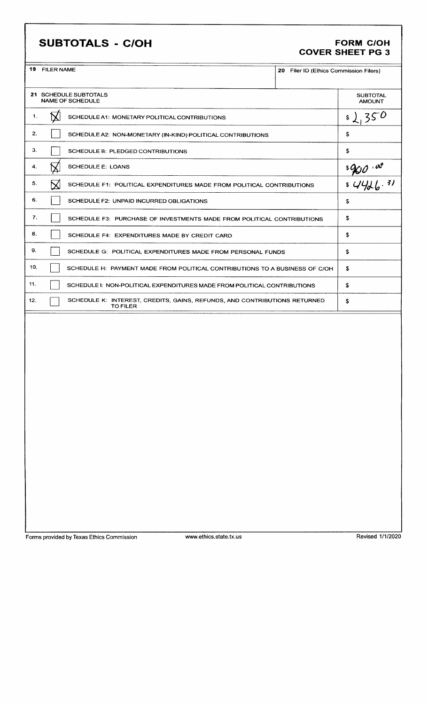#### SUBTOTALS - C/OH FORM C/OH

### COVER SHEET PG 3

| 19 | <b>FILER NAME</b> |
|----|-------------------|

|     | 19 FILER NAME<br>20 Filer ID (Ethics Commission Filers) |                                                                                              |  |                                              |
|-----|---------------------------------------------------------|----------------------------------------------------------------------------------------------|--|----------------------------------------------|
|     |                                                         | 21 SCHEDULE SUBTOTALS<br>NAME OF SCHEDULE                                                    |  | <b>SUBTOTAL</b><br><b>AMOUNT</b>             |
| 1.  |                                                         | SCHEDULE A1: MONETARY POLITICAL CONTRIBUTIONS                                                |  | 350<br>\$                                    |
| 2.  |                                                         | SCHEDULE A2: NON-MONETARY (IN-KIND) POLITICAL CONTRIBUTIONS                                  |  | £                                            |
| З.  |                                                         | SCHEDULE B: PLEDGED CONTRIBUTIONS                                                            |  | \$                                           |
| 4.  |                                                         | <b>SCHEDULE E: LOANS</b>                                                                     |  | $\frac{q}{\sqrt{q}}$<br>$\frac{q}{\sqrt{q}}$ |
| 5.  |                                                         | SCHEDULE F1: POLITICAL EXPENDITURES MADE FROM POLITICAL CONTRIBUTIONS                        |  |                                              |
| 6.  |                                                         | SCHEDULE F2: UNPAID INCURRED OBLIGATIONS                                                     |  | \$                                           |
| 7.  |                                                         | SCHEDULE F3: PURCHASE OF INVESTMENTS MADE FROM POLITICAL CONTRIBUTIONS                       |  | \$                                           |
| 8.  |                                                         | SCHEDULE F4: EXPENDITURES MADE BY CREDIT CARD                                                |  | \$                                           |
| 9.  |                                                         | SCHEDULE G: POLITICAL EXPENDITURES MADE FROM PERSONAL FUNDS                                  |  | \$                                           |
| 10. |                                                         | SCHEDULE H: PAYMENT MADE FROM POLITICAL CONTRIBUTIONS TO A BUSINESS OF C/OH                  |  | \$                                           |
| 11. |                                                         | SCHEDULE 1: NON-POLITICAL EXPENDITURES MADE FROM POLITICAL CONTRIBUTIONS                     |  | \$                                           |
| 12. |                                                         | SCHEDULE K: INTEREST, CREDITS, GAINS, REFUNDS, AND CONTRIBUTIONS RETURNED<br><b>TO FILER</b> |  | \$                                           |
|     |                                                         |                                                                                              |  |                                              |
|     |                                                         |                                                                                              |  |                                              |
|     |                                                         |                                                                                              |  |                                              |
|     |                                                         |                                                                                              |  |                                              |
|     |                                                         |                                                                                              |  |                                              |

Forms provided by Texas Ethics Commission www.ethics.state.tx.us Revised 1/1/2020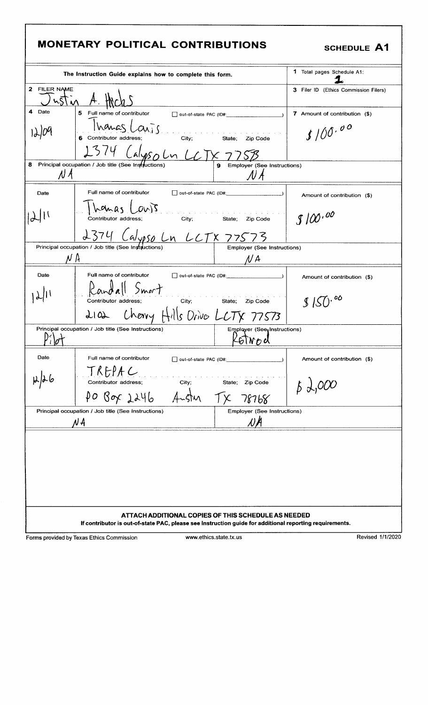### MONETARY POLITICAL CONTRIBUTIONS

#### **SCHEDULE A1**

|                                                                                                                                                                | The Instruction Guide explains how to complete this form.                                                                                                                                         |                                    | 1 Total pages Schedule A1:            |  |
|----------------------------------------------------------------------------------------------------------------------------------------------------------------|---------------------------------------------------------------------------------------------------------------------------------------------------------------------------------------------------|------------------------------------|---------------------------------------|--|
| 2 FILER NAME                                                                                                                                                   | ust in A. Hich                                                                                                                                                                                    |                                    | 3 Filer ID (Ethics Commission Filers) |  |
| 4<br>Date                                                                                                                                                      | 5 Full name of contributor<br>out-of-state PAC (ID#:                                                                                                                                              |                                    | 7 Amount of contribution (\$)         |  |
|                                                                                                                                                                | Inanas Laris<br><u>.</u><br>Na kaominina mpikambana ny kaominina mpikambana amin'ny fivondronan-kaominin'i Andre Maria ny kaominina mpikambana<br>6 Contributor address:<br>City; State: Zip Code |                                    | 3100.00                               |  |
|                                                                                                                                                                | 1374 Calyso Ln LCTX 7758                                                                                                                                                                          |                                    |                                       |  |
| N A                                                                                                                                                            | 8 Principal occupation / Job title (See Instructions)                                                                                                                                             | Employer (See Instructions)<br>N A |                                       |  |
| Date                                                                                                                                                           | Full name of contributor                                                                                                                                                                          |                                    | Amount of contribution (\$)           |  |
|                                                                                                                                                                | homas Cours<br>City; State; Zip Code<br>Contributor address;                                                                                                                                      |                                    | S100.00                               |  |
|                                                                                                                                                                | 2374 Calypso Ln LCTX 77573                                                                                                                                                                        |                                    |                                       |  |
|                                                                                                                                                                | Principal occupation / Job title (See Instructions)                                                                                                                                               | <b>Employer (See Instructions)</b> |                                       |  |
| $N \mu$                                                                                                                                                        |                                                                                                                                                                                                   | N A                                |                                       |  |
| Date                                                                                                                                                           | Full name of contributor                                                                                                                                                                          |                                    | Amount of contribution (\$)           |  |
|                                                                                                                                                                | Randall Smort<br>Contributor address;                                                                                                                                                             | City; State; Zip Code              | \$150.00                              |  |
|                                                                                                                                                                | 2102 Cherry Hills Drive LCTX 77573                                                                                                                                                                |                                    |                                       |  |
|                                                                                                                                                                | Principal occupation / Job title (See Instructions)                                                                                                                                               | Employer (See Instructions)        |                                       |  |
|                                                                                                                                                                |                                                                                                                                                                                                   | GTNO U                             |                                       |  |
| Date                                                                                                                                                           | Full name of contributor                                                                                                                                                                          |                                    | Amount of contribution (\$)           |  |
|                                                                                                                                                                | <u>TREPAC</u><br>Contributor address;<br>City;                                                                                                                                                    | State; Zip Code                    |                                       |  |
|                                                                                                                                                                | PO Box 2246                                                                                                                                                                                       | 78768                              |                                       |  |
| Principal occupation / Job title (See Instructions)<br><b>Employer (See Instructions)</b>                                                                      |                                                                                                                                                                                                   |                                    |                                       |  |
|                                                                                                                                                                | N A                                                                                                                                                                                               | NA                                 |                                       |  |
|                                                                                                                                                                |                                                                                                                                                                                                   |                                    |                                       |  |
|                                                                                                                                                                |                                                                                                                                                                                                   |                                    |                                       |  |
|                                                                                                                                                                |                                                                                                                                                                                                   |                                    |                                       |  |
|                                                                                                                                                                |                                                                                                                                                                                                   |                                    |                                       |  |
|                                                                                                                                                                |                                                                                                                                                                                                   |                                    |                                       |  |
|                                                                                                                                                                |                                                                                                                                                                                                   |                                    |                                       |  |
| ATTACH ADDITIONAL COPIES OF THIS SCHEDULE AS NEEDED<br>If contributor is out-of-state PAC, please see Instruction guide for additional reporting requirements. |                                                                                                                                                                                                   |                                    |                                       |  |
|                                                                                                                                                                |                                                                                                                                                                                                   |                                    |                                       |  |

Forms provided by Texas Ethics Commission

www.ethics.state.tx.us

Revised 1/1/2020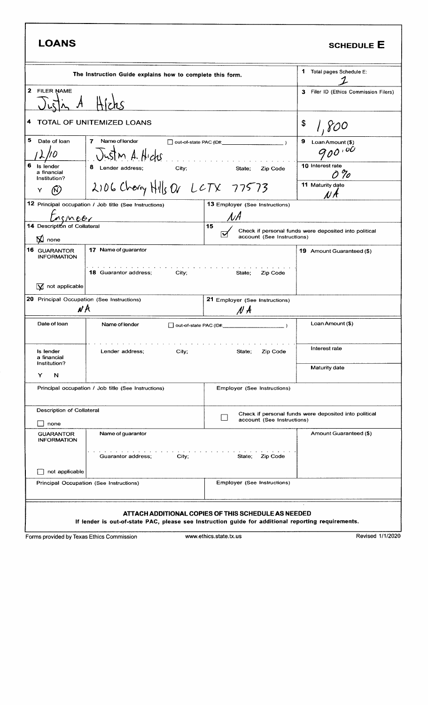| <b>LOANS</b>                                                                              |                                                                                                    |                                                                                                          | <b>SCHEDULE E</b>                                               |
|-------------------------------------------------------------------------------------------|----------------------------------------------------------------------------------------------------|----------------------------------------------------------------------------------------------------------|-----------------------------------------------------------------|
| The Instruction Guide explains how to complete this form.                                 |                                                                                                    |                                                                                                          | 1 Total pages Schedule E:                                       |
| 2 FILER NAME                                                                              |                                                                                                    |                                                                                                          |                                                                 |
| TOTAL OF UNITEMIZED LOANS<br>4                                                            |                                                                                                    |                                                                                                          | \$<br>800                                                       |
| 5<br>Date of loan<br>6<br>Is lender                                                       | $\overline{ }$<br>Name of lender<br>Just n A. Hicks<br>8 Lender address;<br>City;                  | $\Box$ out-of-state PAC (ID#: $\Box$ )<br><u>and a straight and a straight and</u><br>State;<br>Zip Code | 9<br>Loan Amount (\$)<br>$900^{100}$<br><b>10 Interest rate</b> |
| a financial<br>Institution?<br>Y                                                          | 2106 Charry Hills Or LCTX 77573                                                                    |                                                                                                          | 0 %<br>11 Maturity date<br>N A                                  |
| M<br>14 Description of Collateral                                                         | 12 Principal occupation / Job title (See Instructions)                                             | <b>13 Employer (See Instructions)</b><br>$\mathcal{N}\mathcal{A}$<br>15<br>account (See Instructions)    | Check if personal funds were deposited into political           |
| $\mathbf{\nabla}$ none<br>16 GUARANTOR<br><b>INFORMATION</b><br>$\sqrt{2}$ not applicable | 17 Name of guarantor<br>the contract of the contract of<br><b>18 Guarantor address;</b><br>City;   | State;<br>Zip Code                                                                                       | 19 Amount Guaranteed (\$)                                       |
| <b>20</b> Principal Occupation (See Instructions)<br>N A                                  |                                                                                                    | 21 Employer (See Instructions)<br>$N \nmid A$                                                            |                                                                 |
| Date of loan                                                                              | Name of lender<br>out-of-state PAC (ID#:                                                           |                                                                                                          | Loan Amount (\$)                                                |
| Is lender<br>a financial                                                                  | Lender address:<br>City;                                                                           | Zip Code<br>State;                                                                                       | Interest rate                                                   |
| Institution?<br>Y<br>N                                                                    |                                                                                                    |                                                                                                          | Maturity date                                                   |
|                                                                                           | Principal occupation / Job title (See Instructions)                                                | Employer (See Instructions)                                                                              |                                                                 |
| Description of Collateral<br>none                                                         |                                                                                                    | account (See Instructions)                                                                               | Check if personal funds were deposited into political           |
| <b>GUARANTOR</b><br><b>INFORMATION</b>                                                    | Name of guarantor                                                                                  |                                                                                                          | Amount Guaranteed (\$)                                          |
| not applicable                                                                            | Guarantor address;<br>City;                                                                        | Zip Code<br>State,                                                                                       |                                                                 |
|                                                                                           | Principal Occupation (See Instructions)                                                            | Employer (See Instructions)                                                                              |                                                                 |
|                                                                                           | If lender is out-of-state PAC, please see Instruction guide for additional reporting requirements. | ATTACH ADDITIONAL COPIES OF THIS SCHEDULE AS NEEDED                                                      |                                                                 |
|                                                                                           | Forms provided by Texas Ethics Commission                                                          | www.ethics.state.tx.us                                                                                   | Revised 1/1/2020                                                |